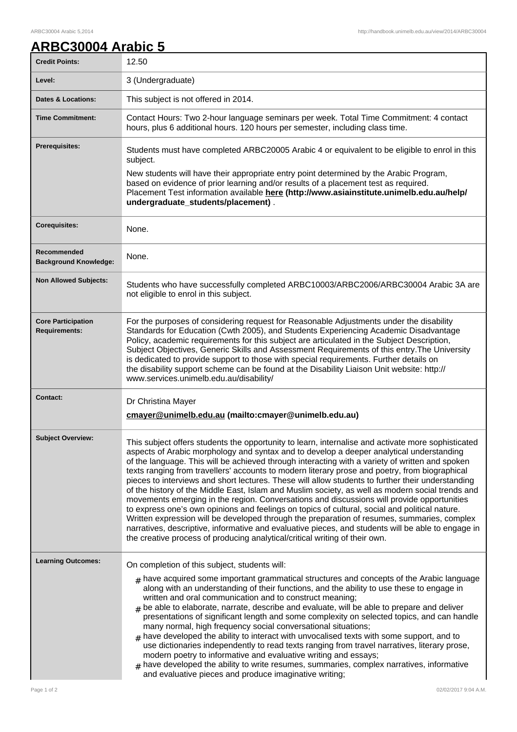## **ARBC30004 Arabic 5**

| <b>Credit Points:</b>                             | 12.50                                                                                                                                                                                                                                                                                                                                                                                                                                                                                                                                                                                                                                                                                                                                                                                                                                                                                                                                                                                                                                                                                            |
|---------------------------------------------------|--------------------------------------------------------------------------------------------------------------------------------------------------------------------------------------------------------------------------------------------------------------------------------------------------------------------------------------------------------------------------------------------------------------------------------------------------------------------------------------------------------------------------------------------------------------------------------------------------------------------------------------------------------------------------------------------------------------------------------------------------------------------------------------------------------------------------------------------------------------------------------------------------------------------------------------------------------------------------------------------------------------------------------------------------------------------------------------------------|
| Level:                                            | 3 (Undergraduate)                                                                                                                                                                                                                                                                                                                                                                                                                                                                                                                                                                                                                                                                                                                                                                                                                                                                                                                                                                                                                                                                                |
| <b>Dates &amp; Locations:</b>                     | This subject is not offered in 2014.                                                                                                                                                                                                                                                                                                                                                                                                                                                                                                                                                                                                                                                                                                                                                                                                                                                                                                                                                                                                                                                             |
| <b>Time Commitment:</b>                           | Contact Hours: Two 2-hour language seminars per week. Total Time Commitment: 4 contact<br>hours, plus 6 additional hours. 120 hours per semester, including class time.                                                                                                                                                                                                                                                                                                                                                                                                                                                                                                                                                                                                                                                                                                                                                                                                                                                                                                                          |
| Prerequisites:                                    | Students must have completed ARBC20005 Arabic 4 or equivalent to be eligible to enrol in this<br>subject.                                                                                                                                                                                                                                                                                                                                                                                                                                                                                                                                                                                                                                                                                                                                                                                                                                                                                                                                                                                        |
|                                                   | New students will have their appropriate entry point determined by the Arabic Program,<br>based on evidence of prior learning and/or results of a placement test as required.<br>Placement Test information available here (http://www.asiainstitute.unimelb.edu.au/help/<br>undergraduate_students/placement).                                                                                                                                                                                                                                                                                                                                                                                                                                                                                                                                                                                                                                                                                                                                                                                  |
| <b>Corequisites:</b>                              | None.                                                                                                                                                                                                                                                                                                                                                                                                                                                                                                                                                                                                                                                                                                                                                                                                                                                                                                                                                                                                                                                                                            |
| Recommended<br><b>Background Knowledge:</b>       | None.                                                                                                                                                                                                                                                                                                                                                                                                                                                                                                                                                                                                                                                                                                                                                                                                                                                                                                                                                                                                                                                                                            |
| <b>Non Allowed Subjects:</b>                      | Students who have successfully completed ARBC10003/ARBC2006/ARBC30004 Arabic 3A are<br>not eligible to enrol in this subject.                                                                                                                                                                                                                                                                                                                                                                                                                                                                                                                                                                                                                                                                                                                                                                                                                                                                                                                                                                    |
| <b>Core Participation</b><br><b>Requirements:</b> | For the purposes of considering request for Reasonable Adjustments under the disability<br>Standards for Education (Cwth 2005), and Students Experiencing Academic Disadvantage<br>Policy, academic requirements for this subject are articulated in the Subject Description,<br>Subject Objectives, Generic Skills and Assessment Requirements of this entry. The University<br>is dedicated to provide support to those with special requirements. Further details on<br>the disability support scheme can be found at the Disability Liaison Unit website: http://<br>www.services.unimelb.edu.au/disability/                                                                                                                                                                                                                                                                                                                                                                                                                                                                                 |
| <b>Contact:</b>                                   | Dr Christina Mayer<br>cmayer@unimelb.edu.au (mailto:cmayer@unimelb.edu.au)                                                                                                                                                                                                                                                                                                                                                                                                                                                                                                                                                                                                                                                                                                                                                                                                                                                                                                                                                                                                                       |
| <b>Subject Overview:</b>                          | This subject offers students the opportunity to learn, internalise and activate more sophisticated<br>aspects of Arabic morphology and syntax and to develop a deeper analytical understanding<br>of the language. This will be achieved through interacting with a variety of written and spoken<br>texts ranging from travellers' accounts to modern literary prose and poetry, from biographical<br>pieces to interviews and short lectures. These will allow students to further their understanding<br>of the history of the Middle East, Islam and Muslim society, as well as modern social trends and<br>movements emerging in the region. Conversations and discussions will provide opportunities<br>to express one's own opinions and feelings on topics of cultural, social and political nature.<br>Written expression will be developed through the preparation of resumes, summaries, complex<br>narratives, descriptive, informative and evaluative pieces, and students will be able to engage in<br>the creative process of producing analytical/critical writing of their own. |
| <b>Learning Outcomes:</b>                         | On completion of this subject, students will:<br>$_{\#}$ have acquired some important grammatical structures and concepts of the Arabic language<br>along with an understanding of their functions, and the ability to use these to engage in<br>written and oral communication and to construct meaning;<br>$_{\text{\#}}$ be able to elaborate, narrate, describe and evaluate, will be able to prepare and deliver<br>presentations of significant length and some complexity on selected topics, and can handle<br>many normal, high frequency social conversational situations;<br>$_{\#}$ have developed the ability to interact with unvocalised texts with some support, and to<br>use dictionaries independently to read texts ranging from travel narratives, literary prose,<br>modern poetry to informative and evaluative writing and essays;<br>$*$ have developed the ability to write resumes, summaries, complex narratives, informative<br>and evaluative pieces and produce imaginative writing;                                                                              |